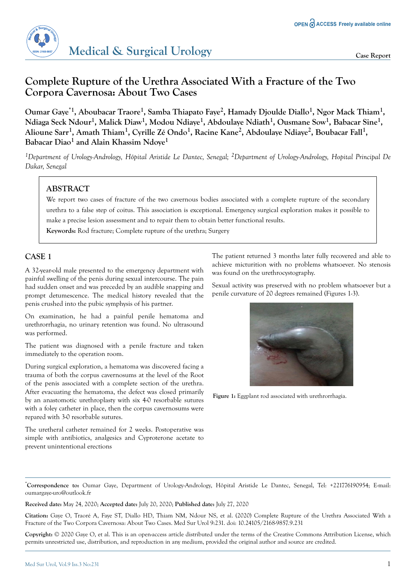

# **Complete Rupture of the Urethra Associated With a Fracture of the Two Corpora Cavernosa: About Two Cases**

**Oumar Gaye\*1, Aboubacar Traore<sup>1</sup> , Samba Thiapato Faye<sup>2</sup> , Hamady Djoulde Diallo<sup>1</sup> , Ngor Mack Thiam<sup>1</sup> , Ndiaga Seck Ndour<sup>1</sup> , Malick Diaw<sup>1</sup> , Modou Ndiaye<sup>1</sup> , Abdoulaye Ndiath<sup>1</sup> , Ousmane Sow<sup>1</sup> , Babacar Sine<sup>1</sup> , Alioune Sarr<sup>1</sup> , Amath Thiam<sup>1</sup> , Cyrille Zé Ondo<sup>1</sup> , Racine Kane<sup>2</sup> , Abdoulaye Ndiaye<sup>2</sup> , Boubacar Fall<sup>1</sup> , Babacar Diao<sup>1</sup> and Alain Khassim Ndoye<sup>1</sup>**

*<sup>1</sup>Department of Urology-Andrology, Hôpital Aristide Le Dantec, Senegal; 2Department of Urology-Andrology, Hopital Principal De Dakar, Senegal*

# **ABSTRACT**

We report two cases of fracture of the two cavernous bodies associated with a complete rupture of the secondary urethra to a false step of coitus. This association is exceptional. Emergency surgical exploration makes it possible to make a precise lesion assessment and to repair them to obtain better functional results.

**Keywords:** Rod fracture; Complete rupture of the urethra; Surgery

## **CASE 1**

A 32-year-old male presented to the emergency department with painful swelling of the penis during sexual intercourse. The pain had sudden onset and was preceded by an audible snapping and prompt detumescence. The medical history revealed that the penis crushed into the pubic symphysis of his partner.

On examination, he had a painful penile hematoma and urethrorrhagia, no urinary retention was found. No ultrasound was performed.

The patient was diagnosed with a penile fracture and taken immediately to the operation room.

During surgical exploration, a hematoma was discovered facing a trauma of both the corpus cavernosums at the level of the Root of the penis associated with a complete section of the urethra. After evacuating the hematoma, the defect was closed primarily by an anastomotic urethroplasty with six 4-0 resorbable sutures with a foley catheter in place, then the corpus cavernosums were repared with 3-0 resorbable sutures.

The uretheral catheter remained for 2 weeks. Postoperative was simple with antibiotics, analgesics and Cyproterone acetate to prevent unintentional erections

The patient returned 3 months later fully recovered and able to achieve micturition with no problems whatsoever. No stenosis was found on the urethrocystography.

Sexual activity was preserved with no problem whatsoever but a penile curvature of 20 degrees remained (Figures 1-3).



**Figure 1:** Eggplant rod associated with urethrorrhagia.

\***Correspondence to:** Oumar Gaye, Department of Urology-Andrology, Hôpital Aristide Le Dantec, Senegal, Tel: +221776190954; E-mail: oumargaye-uro@outlook.fr

**Received date:** May 24, 2020; **Accepted date:** July 20, 2020; **Published date:** July 27, 2020

**Citation:** Gaye O, Traoré A, Faye ST, Diallo HD, Thiam NM, Ndour NS, et al. (2020) Complete Rupture of the Urethra Associated With a Fracture of the Two Corpora Cavernosa: About Two Cases. Med Sur Urol 9:231. doi: 10.24105/2168-9857.9.231

**Copyright:** © 2020 Gaye O, et al. This is an open-access article distributed under the terms of the Creative Commons Attribution License, which permits unrestricted use, distribution, and reproduction in any medium, provided the original author and source are credited.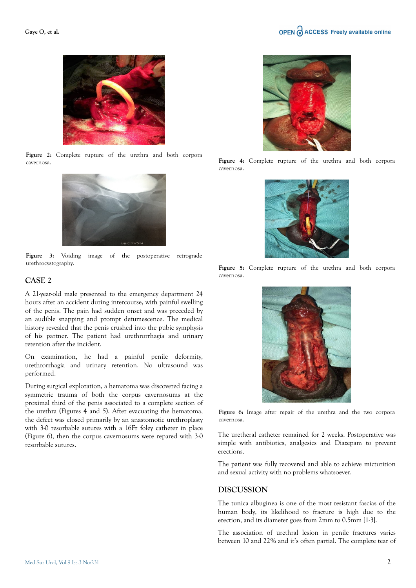

**Figure 2:** Complete rupture of the urethra and both corpora cavernosa.



Figure 3: Voiding image of the postoperative retrograde urethrocystography.

#### **CASE 2**

A 21-year-old male presented to the emergency department 24 hours after an accident during intercourse, with painful swelling of the penis. The pain had sudden onset and was preceded by an audible snapping and prompt detumescence. The medical history revealed that the penis crushed into the pubic symphysis of his partner. The patient had urethrorrhagia and urinary retention after the incident.

On examination, he had a painful penile deformity, urethrorrhagia and urinary retention. No ultrasound was performed.

During surgical exploration, a hematoma was discovered facing a symmetric trauma of both the corpus cavernosums at the proximal third of the penis associated to a complete section of the urethra (Figures 4 and 5). After evacuating the hematoma, the defect was closed primarily by an anastomotic urethroplasty with 3-0 resorbable sutures with a 16Fr foley catheter in place (Figure 6), then the corpus cavernosums were repared with 3-0 resorbable sutures.



**Figure 4:** Complete rupture of the urethra and both corpora cavernosa.



**Figure 5:** Complete rupture of the urethra and both corpora cavernosa.



**Figure 6:** Image after repair of the urethra and the two corpora cavernosa.

The uretheral catheter remained for 2 weeks. Postoperative was simple with antibiotics, analgesics and Diazepam to prevent erections.

The patient was fully recovered and able to achieve micturition and sexual activity with no problems whatsoever.

#### **DISCUSSION**

The tunica albuginea is one of the most resistant fascias of the human body, its likelihood to fracture is high due to the erection, and its diameter goes from 2mm to 0.5mm [1-3].

The association of urethral lesion in penile fractures varies between 10 and 22% and it's often partial. The complete tear of